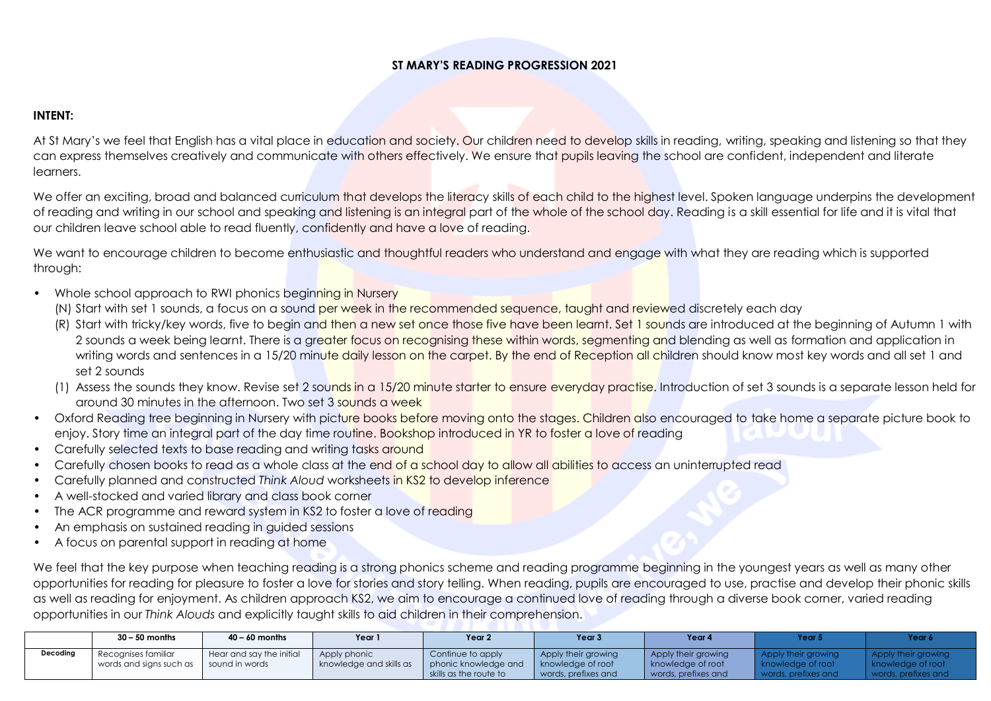## **ST MARY'S READING PROGRESSION 2021**

## **INTENT:**

At St Mary's we feel that English has a vital place in education and society. Our children need to develop skills in reading, writing, speaking and listening so that they can express themselves creatively and communicate with others effectively. We ensure that pupils leaving the school are confident, independent and literate learners.

We offer an exciting, broad and balanced curriculum that develops the literacy skills of each child to the highest level. Spoken language underpins the development of reading and writing in our school and speaking and listening is an integral part of the whole of the school day. Reading is a skill essential for life and it is vital that our children leave school able to read fluently, confidently and have a love of reading.

We want to encourage children to become enthusiastic and thoughtful readers who understand and engage with what they are reading which is supported through:

- Whole school approach to RWI phonics beginning in Nursery
	- (N) Start with set 1 sounds, a focus on a sound per week in the recommended sequence, taught and reviewed discretely each day
	- (R) Start with tricky/key words, five to begin and then a new set once those five have been learnt. Set 1 sounds are introduced at the beginning of Autumn 1 with 2 sounds a week being learnt. There is a greater focus on recognising these within words, segmenting and blending as well as formation and application in writing words and sentences in a 15/20 minute daily lesson on the carpet. By the end of Reception all children should know most key words and all set 1 and set 2 sounds
	- (1) Assess the sounds they know. Revise set 2 sounds in a 15/20 minute starter to ensure everyday practise. Introduction of set 3 sounds is a separate lesson held for around 30 minutes in the afternoon. Two set 3 sounds a week
- Oxford Reading tree beginning in Nursery with picture books before moving onto the stages. Children also encouraged to take home a separate picture book to enjoy. Story time an integral part of the day time routine. Bookshop introduced in YR to foster a love of reading
- Carefully selected texts to base reading and writing tasks around
- Carefully chosen books to read as a whole class at the end of a school day to allow all abilities to access an uninterrupted read
- Carefully planned and constructed *Think Aloud* worksheets in KS2 to develop inference
- A well-stocked and varied library and class book corner
- The ACR programme and reward system in KS2 to foster a love of reading
- An emphasis on sustained reading in guided sessions
- A focus on parental support in reading at home

We feel that the key purpose when teaching reading is a strong phonics scheme and reading programme beginning in the youngest years as well as many other opportunities for reading for pleasure to foster a love for stories and story telling. When reading, pupils are encouraged to use, practise and develop their phonic skills as well as reading for enjoyment. As children approach KS2, we aim to encourage a continued love of reading through a diverse book corner, varied reading opportunities in our *Think Alouds* and explicitly taught skills to aid children in their comprehension.

|          | $30 - 50$ months                         | $40 - 60$ months         | Year                    | Year 2                                         | Year <sub>3</sub>                        | Year 4                                   | rear :            | Year 6            |
|----------|------------------------------------------|--------------------------|-------------------------|------------------------------------------------|------------------------------------------|------------------------------------------|-------------------|-------------------|
| Decoding | Recognises familiar                      | Hear and say the initial | Apply phonic            | Continue to apply                              | Apply their growing                      | Apply their growing                      | their growing     |                   |
|          | words and signs such as   sound in words |                          | knowledge and skills as | phonic knowledge and<br>skills as the route to | knowledge of root<br>words, prefixes and | knowledge of root<br>words, prefixes and | knowledge of root | nowledge of root: |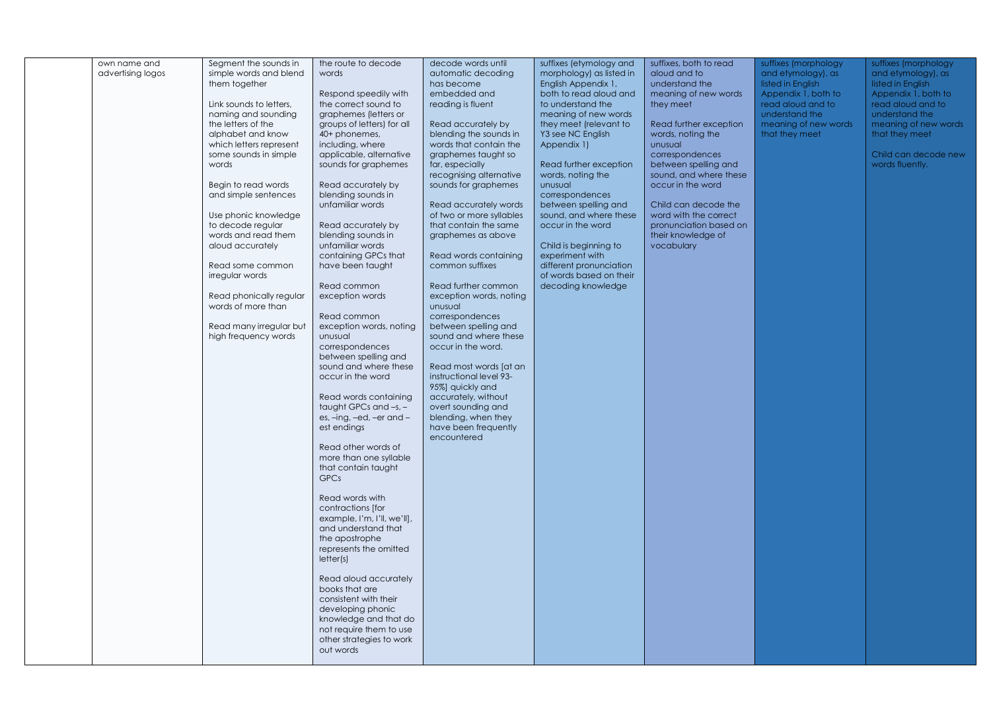| own name and<br>advertising logos | Segment the sounds in<br>simple words and blend<br>them together<br>Link sounds to letters,<br>naming and sounding<br>the letters of the<br>alphabet and know<br>which letters represent<br>some sounds in simple<br>words<br>Begin to read words<br>and simple sentences<br>Use phonic knowledge<br>to decode regular<br>words and read them<br>aloud accurately<br>Read some common<br>irregular words<br>Read phonically regular<br>words of more than<br>Read many irregular but<br>high frequency words | the route to decode<br>words<br>Respond speedily with<br>the correct sound to<br>graphemes (letters or<br>groups of letters) for all<br>40+ phonemes,<br>including, where<br>applicable, alternative<br>sounds for graphemes<br>Read accurately by<br>blending sounds in<br>unfamiliar words<br>Read accurately by<br>blending sounds in<br>unfamiliar words<br>containing GPCs that<br>have been taught<br>Read common<br>exception words<br>Read common<br>exception words, noting<br>unusual<br>correspondences<br>between spelling and<br>sound and where these<br>occur in the word<br>Read words containing<br>taught GPCs and $-s$ , $-$<br>es, -ing, -ed, -er and -<br>est endings<br>Read other words of<br>more than one syllable<br>that contain taught<br><b>GPCs</b><br>Read words with<br>contractions [for<br>example, I'm, I'll, we'll],<br>and understand that<br>the apostrophe<br>represents the omitted<br>letter(s)<br>Read aloud accurately<br>books that are<br>consistent with their<br>developing phonic<br>knowledge and that do<br>not require them to use<br>other strategies to work<br>out words | decode words until<br>automatic decoding<br>has become<br>embedded and<br>reading is fluent<br>Read accurately by<br>blending the sounds in<br>words that contain the<br>graphemes taught so<br>far, especially<br>recognising alternative<br>sounds for graphemes<br>Read accurately words<br>of two or more syllables<br>that contain the same<br>graphemes as above<br>Read words containing<br>common suffixes<br>Read further common<br>exception words, noting<br>unusual<br>correspondences<br>between spelling and<br>sound and where these<br>occur in the word.<br>Read most words [at an<br>instructional level 93-<br>95%] quickly and<br>accurately, without<br>overt sounding and<br>blending, when they<br>have been frequently<br>encountered | suffixes (etymology and<br>morphology) as listed in<br>English Appendix 1,<br>both to read aloud and<br>to understand the<br>meaning of new words<br>they meet (relevant to<br>Y3 see NC English<br>Appendix 1)<br>Read further exception<br>words, noting the<br>unusual<br>correspondences<br>between spelling and<br>sound, and where these<br>occur in the word<br>Child is beginning to<br>experiment with<br>different pronunciation<br>of words based on their<br>decoding knowledge | suffixes, both to read<br>aloud and to<br>understand the<br>meaning of new words<br>they meet<br>Read further exception<br>words, noting the<br>unusual<br>correspondences<br>between spelling and<br>sound, and where these<br>occur in the word<br>Child can decode the<br>word with the correct<br>pronunciation based on<br>their knowledge of<br>vocabulary | suffixes (morphology<br>and etymology), as<br>listed in English<br>Appendix 1, both to<br>read aloud and to<br>understand the<br>meaning of new words<br>that they meet | suffixes (morphology<br>and etymology), as<br>listed in English<br>Appendix 1, both to<br>read aloud and to<br>understand the<br>meaning of new words<br>that they meet<br>Child can decode new<br>words fluently. |
|-----------------------------------|--------------------------------------------------------------------------------------------------------------------------------------------------------------------------------------------------------------------------------------------------------------------------------------------------------------------------------------------------------------------------------------------------------------------------------------------------------------------------------------------------------------|--------------------------------------------------------------------------------------------------------------------------------------------------------------------------------------------------------------------------------------------------------------------------------------------------------------------------------------------------------------------------------------------------------------------------------------------------------------------------------------------------------------------------------------------------------------------------------------------------------------------------------------------------------------------------------------------------------------------------------------------------------------------------------------------------------------------------------------------------------------------------------------------------------------------------------------------------------------------------------------------------------------------------------------------------------------------------------------------------------------------------------|---------------------------------------------------------------------------------------------------------------------------------------------------------------------------------------------------------------------------------------------------------------------------------------------------------------------------------------------------------------------------------------------------------------------------------------------------------------------------------------------------------------------------------------------------------------------------------------------------------------------------------------------------------------------------------------------------------------------------------------------------------------|---------------------------------------------------------------------------------------------------------------------------------------------------------------------------------------------------------------------------------------------------------------------------------------------------------------------------------------------------------------------------------------------------------------------------------------------------------------------------------------------|------------------------------------------------------------------------------------------------------------------------------------------------------------------------------------------------------------------------------------------------------------------------------------------------------------------------------------------------------------------|-------------------------------------------------------------------------------------------------------------------------------------------------------------------------|--------------------------------------------------------------------------------------------------------------------------------------------------------------------------------------------------------------------|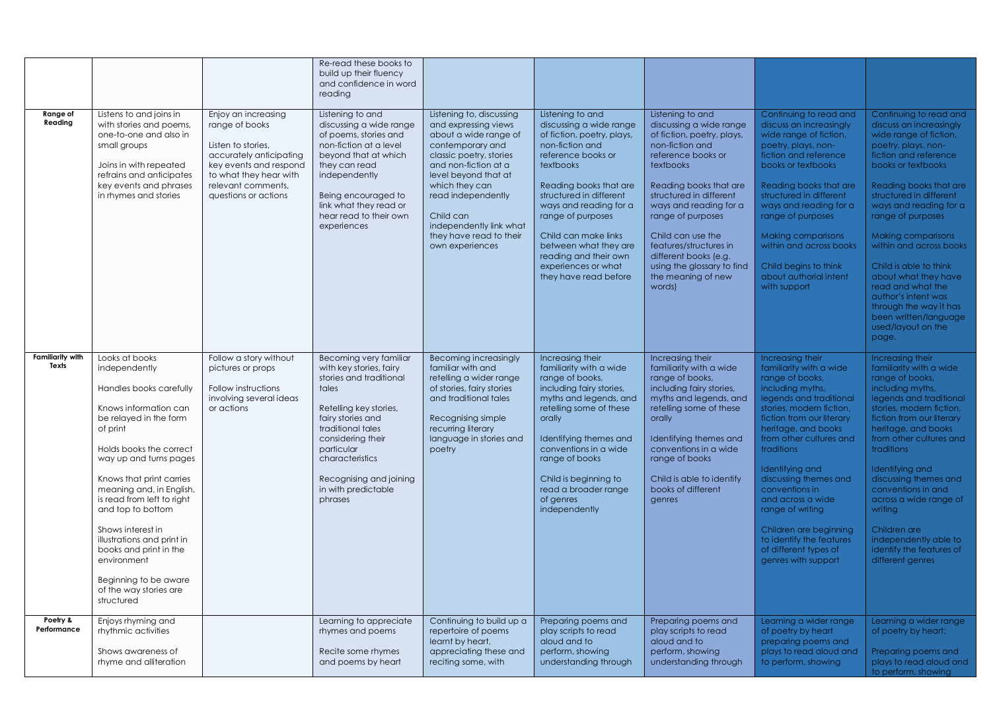|                                  |                                                                                                                                                                                                                                                                                                                                                                                                                                                        |                                                                                                                                                                                          | Re-read these books to<br>build up their fluency<br>and confidence in word<br>reading                                                                                                                                                                                        |                                                                                                                                                                                                                                                                                                        |                                                                                                                                                                                                                                                                                                                                                                      |                                                                                                                                                                                                                                                                                                                                                                           |                                                                                                                                                                                                                                                                                                                                                                                                                                                     |                                                                                                                                                                                                                                                                                                                                                                                                                                                                                        |
|----------------------------------|--------------------------------------------------------------------------------------------------------------------------------------------------------------------------------------------------------------------------------------------------------------------------------------------------------------------------------------------------------------------------------------------------------------------------------------------------------|------------------------------------------------------------------------------------------------------------------------------------------------------------------------------------------|------------------------------------------------------------------------------------------------------------------------------------------------------------------------------------------------------------------------------------------------------------------------------|--------------------------------------------------------------------------------------------------------------------------------------------------------------------------------------------------------------------------------------------------------------------------------------------------------|----------------------------------------------------------------------------------------------------------------------------------------------------------------------------------------------------------------------------------------------------------------------------------------------------------------------------------------------------------------------|---------------------------------------------------------------------------------------------------------------------------------------------------------------------------------------------------------------------------------------------------------------------------------------------------------------------------------------------------------------------------|-----------------------------------------------------------------------------------------------------------------------------------------------------------------------------------------------------------------------------------------------------------------------------------------------------------------------------------------------------------------------------------------------------------------------------------------------------|----------------------------------------------------------------------------------------------------------------------------------------------------------------------------------------------------------------------------------------------------------------------------------------------------------------------------------------------------------------------------------------------------------------------------------------------------------------------------------------|
| Range of<br>Reading              | Listens to and joins in<br>with stories and poems.<br>one-to-one and also in<br>small groups<br>Joins in with repeated<br>refrains and anticipates<br>key events and phrases<br>in rhymes and stories                                                                                                                                                                                                                                                  | Enjoy an increasing<br>range of books<br>Listen to stories,<br>accurately anticipating<br>key events and respond<br>to what they hear with<br>relevant comments,<br>questions or actions | Listening to and<br>discussing a wide range<br>of poems, stories and<br>non-fiction at a level<br>beyond that at which<br>they can read<br>independently<br>Being encouraged to<br>link what they read or<br>hear read to their own<br>experiences                           | Listening to, discussing<br>and expressing views<br>about a wide range of<br>contemporary and<br>classic poetry, stories<br>and non-fiction at a<br>level beyond that at<br>which they can<br>read independently<br>Child can<br>independently link what<br>they have read to their<br>own experiences | Listening to and<br>discussing a wide range<br>of fiction, poetry, plays,<br>non-fiction and<br>reference books or<br><b>textbooks</b><br>Reading books that are<br>structured in different<br>ways and reading for a<br>range of purposes<br>Child can make links<br>between what they are<br>reading and their own<br>experiences or what<br>they have read before | Listening to and<br>discussing a wide range<br>of fiction, poetry, plays,<br>non-fiction and<br>reference books or<br>textbooks<br>Reading books that are<br>structured in different<br>ways and reading for a<br>range of purposes<br>Child can use the<br>features/structures in<br>different books (e.g.<br>using the glossary to find<br>the meaning of new<br>words) | Continuing to read and<br>discuss an increasingly<br>wide range of fiction,<br>poetry, plays, non-<br>fiction and reference<br>books or textbooks<br>Reading books that are<br>structured in different<br>ways and reading for a<br>range of purposes<br>Making comparisons<br>within and across books<br>Child begins to think<br>about authorial intent<br>with support                                                                           | Continuing to read and<br>discuss an increasingly<br>wide range of fiction,<br>poetry, plays, non-<br>fiction and reference<br>books or textbooks<br>Reading books that are<br>structured in different<br>ways and reading for a<br>range of purposes<br>Making comparisons<br>within and across books<br>Child is able to think<br>about what they have<br>read and what the<br>author's intent was<br>through the way it has<br>been written/language<br>used/layout on the<br>page. |
| <b>Familiarity with</b><br>Texts | Looks at books<br>independently<br>Handles books carefully<br>Knows information can<br>be relayed in the form<br>of print<br>Holds books the correct<br>way up and turns pages<br>Knows that print carries<br>meaning and, in English,<br>is read from left to right<br>and top to bottom<br>Shows interest in<br>illustrations and print in<br>books and print in the<br>environment<br>Beginning to be aware<br>of the way stories are<br>structured | Follow a story without<br>pictures or props<br>Follow instructions<br>involving several ideas<br>or actions                                                                              | Becoming very familiar<br>with key stories, fairy<br>stories and traditional<br>tales<br>Retelling key stories,<br>fairy stories and<br>traditional tales<br>considering their<br>particular<br>characteristics<br>Recognising and joining<br>in with predictable<br>phrases | Becoming increasingly<br>familiar with and<br>retelling a wider range<br>of stories, fairy stories<br>and traditional tales<br>Recognising simple<br>recurring literary<br>language in stories and<br>poetry                                                                                           | Increasing their<br>familiarity with a wide<br>range of books,<br>including fairy stories,<br>myths and legends, and<br>retelling some of these<br>orally<br>Identifying themes and<br>conventions in a wide<br>range of books<br>Child is beginning to<br>read a broader range<br>of genres<br>independently                                                        | Increasing their<br>familiarity with a wide<br>range of books,<br>including fairy stories,<br>myths and legends, and<br>retelling some of these<br>orally<br>Identifying themes and<br>conventions in a wide<br>range of books<br>Child is able to identify<br>books of different<br>genres                                                                               | Increasing their<br>familiarity with a wide<br>range of books,<br>including myths,<br>legends and traditional<br>stories, modern fiction,<br>fiction from our literary<br>heritage, and books<br>from other cultures and<br>traditions<br>Identifying and<br>discussing themes and<br>conventions in<br>and across a wide<br>range of writing<br>Children are beginning<br>to identify the features<br>of different types of<br>genres with support | Increasing their<br>familiarity with a wide<br>range of books,<br>including myths,<br>legends and traditional<br>stories, modern fiction,<br>fiction from our literary<br>heritage, and books<br>from other cultures and<br>traditions<br>Identifying and<br>discussing themes and<br>conventions in and<br>across a wide range of<br>writing<br>Children are<br>independently able to<br>identify the features of<br>different genres                                                 |
| Poetry &<br>Performance          | Enjoys rhyming and<br>rhythmic activities<br>Shows awareness of<br>rhyme and alliteration                                                                                                                                                                                                                                                                                                                                                              |                                                                                                                                                                                          | Learning to appreciate<br>rhymes and poems<br>Recite some rhymes<br>and poems by heart                                                                                                                                                                                       | Continuing to build up a<br>repertoire of poems<br>learnt by heart,<br>appreciating these and<br>reciting some, with                                                                                                                                                                                   | Preparing poems and<br>play scripts to read<br>aloud and to<br>perform, showing<br>understanding through                                                                                                                                                                                                                                                             | Preparing poems and<br>play scripts to read<br>aloud and to<br>perform, showing<br>understanding through                                                                                                                                                                                                                                                                  | Learning a wider range<br>of poetry by heart<br>preparing poems and<br>plays to read aloud and<br>to perform, showing                                                                                                                                                                                                                                                                                                                               | Learning a wider range<br>of poetry by heart;<br>Preparing poems and<br>plays to read aloud and<br>to perform, showing                                                                                                                                                                                                                                                                                                                                                                 |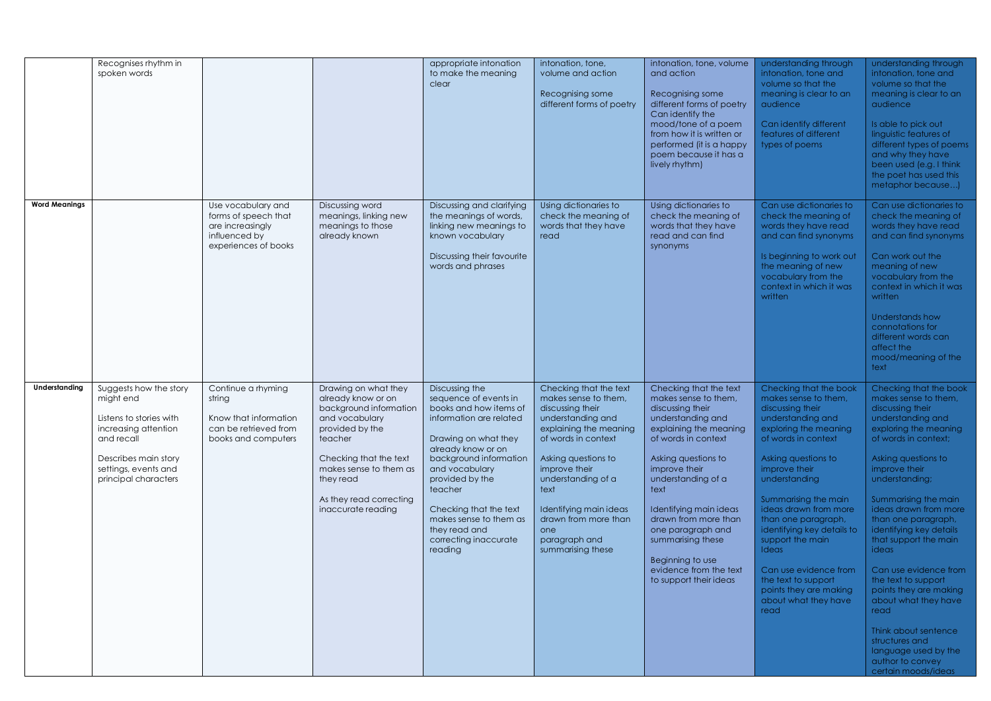|                      | Recognises rhythm in<br>spoken words                                                                                                                                         |                                                                                                         |                                                                                                                                                                                                                                        | appropriate intonation<br>to make the meaning<br>clear                                                                                                                                                                                                                                                                        | intonation, tone,<br>volume and action<br>Recognising some<br>different forms of poetry                                                                                                                                                                                                                       | intonation, tone, volume<br>and action<br>Recognising some<br>different forms of poetry<br>Can identify the<br>mood/tone of a poem<br>from how it is written or<br>performed (it is a happy<br>poem because it has a<br>lively rhythm)                                                                                                                                             | understanding through<br>intonation, tone and<br>volume so that the<br>meaning is clear to an<br>audience<br>Can identify different<br>features of different<br>types of poems                                                                                                                                                                                                                                                                       | understanding through<br>intonation, tone and<br>volume so that the<br>meaning is clear to an<br>audience<br>Is able to pick out<br>linguistic features of<br>different types of poems<br>and why they have<br>been used (e.g. I think<br>the poet has used this<br>metaphor because)                                                                                                                                                                                                                                                                          |
|----------------------|------------------------------------------------------------------------------------------------------------------------------------------------------------------------------|---------------------------------------------------------------------------------------------------------|----------------------------------------------------------------------------------------------------------------------------------------------------------------------------------------------------------------------------------------|-------------------------------------------------------------------------------------------------------------------------------------------------------------------------------------------------------------------------------------------------------------------------------------------------------------------------------|---------------------------------------------------------------------------------------------------------------------------------------------------------------------------------------------------------------------------------------------------------------------------------------------------------------|------------------------------------------------------------------------------------------------------------------------------------------------------------------------------------------------------------------------------------------------------------------------------------------------------------------------------------------------------------------------------------|------------------------------------------------------------------------------------------------------------------------------------------------------------------------------------------------------------------------------------------------------------------------------------------------------------------------------------------------------------------------------------------------------------------------------------------------------|----------------------------------------------------------------------------------------------------------------------------------------------------------------------------------------------------------------------------------------------------------------------------------------------------------------------------------------------------------------------------------------------------------------------------------------------------------------------------------------------------------------------------------------------------------------|
| <b>Word Meanings</b> |                                                                                                                                                                              | Use vocabulary and<br>forms of speech that<br>are increasingly<br>influenced by<br>experiences of books | Discussing word<br>meanings, linking new<br>meanings to those<br>already known                                                                                                                                                         | Discussing and clarifying<br>the meanings of words,<br>linking new meanings to<br>known vocabulary<br>Discussing their favourite<br>words and phrases                                                                                                                                                                         | Using dictionaries to<br>check the meaning of<br>words that they have<br>read                                                                                                                                                                                                                                 | Using dictionaries to<br>check the meaning of<br>words that they have<br>read and can find<br>synonyms                                                                                                                                                                                                                                                                             | Can use dictionaries to<br>check the meaning of<br>words they have read<br>and can find synonyms<br>Is beginning to work out<br>the meaning of new<br>vocabulary from the<br>context in which it was<br>written                                                                                                                                                                                                                                      | Can use dictionaries to<br>check the meaning of<br>words they have read<br>and can find synonyms<br>Can work out the<br>meaning of new<br>vocabulary from the<br>context in which it was<br>written<br>Understands how<br>connotations for<br>different words can<br>affect the<br>mood/meaning of the<br>text                                                                                                                                                                                                                                                 |
| Understanding        | Suggests how the story<br>might end<br>Listens to stories with<br>increasing attention<br>and recall<br>Describes main story<br>settings, events and<br>principal characters | Continue a rhyming<br>string<br>Know that information<br>can be retrieved from<br>books and computers   | Drawing on what they<br>already know or on<br>background information<br>and vocabulary<br>provided by the<br>teacher<br>Checking that the text<br>makes sense to them as<br>they read<br>As they read correcting<br>inaccurate reading | Discussing the<br>sequence of events in<br>books and how items of<br>information are related<br>Drawing on what they<br>already know or on<br>background information<br>and vocabulary<br>provided by the<br>teacher<br>Checking that the text<br>makes sense to them as<br>they read and<br>correcting inaccurate<br>reading | Checking that the text<br>makes sense to them,<br>discussing their<br>understanding and<br>explaining the meaning<br>of words in context<br>Asking questions to<br>improve their<br>understanding of a<br>text<br>Identifying main ideas<br>drawn from more than<br>one<br>paragraph and<br>summarising these | Checking that the text<br>makes sense to them,<br>discussing their<br>understanding and<br>explaining the meaning<br>of words in context<br>Asking questions to<br>improve their<br>understanding of a<br>text<br>Identifying main ideas<br>drawn from more than<br>one paragraph and<br>summarising these<br>Beginning to use<br>evidence from the text<br>to support their ideas | Checking that the book<br>makes sense to them,<br>discussing their<br>understanding and<br>exploring the meaning<br>of words in context<br>Asking questions to<br>improve their<br>understanding<br>Summarising the main<br>ideas drawn from more<br>than one paragraph,<br>identifying key details to<br>support the main<br><b>Ideas</b><br>Can use evidence from<br>the text to support<br>points they are making<br>about what they have<br>read | Checking that the book<br>makes sense to them,<br>discussing their<br>understanding and<br>exploring the meaning<br>of words in context;<br>Asking questions to<br>improve their<br>understanding;<br>Summarising the main<br>ideas drawn from more<br>than one paragraph,<br>identifying key details<br>that support the main<br>ideas<br>Can use evidence from<br>the text to support<br>points they are making<br>about what they have<br>read<br>Think about sentence<br>structures and<br>language used by the<br>author to convey<br>certain moods/ideas |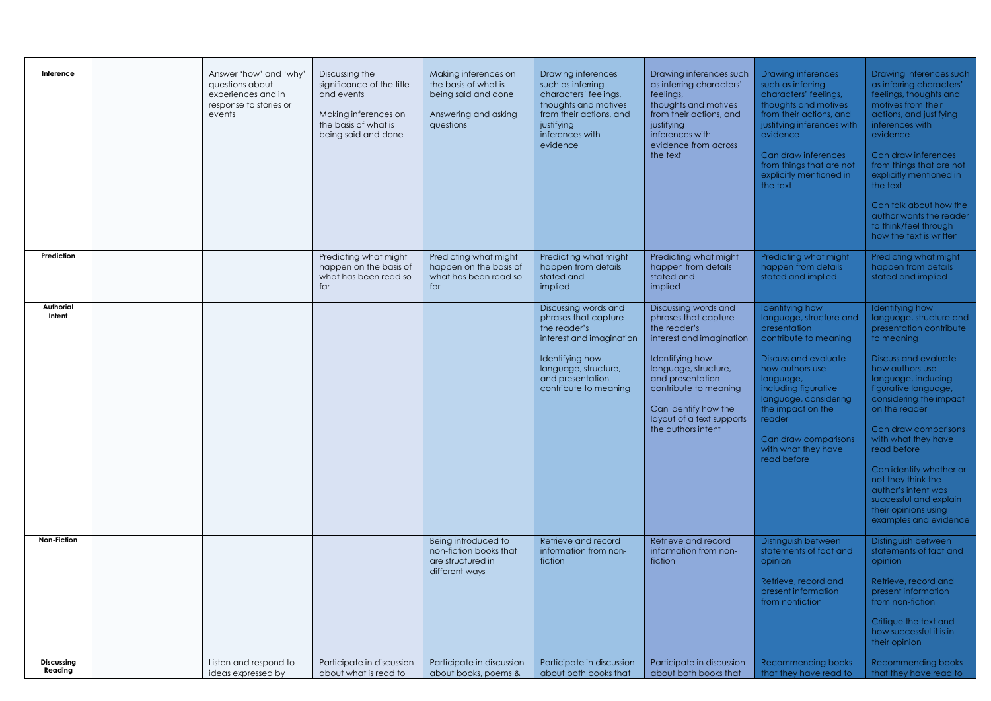| Inference             | Answer 'how' and 'why<br>questions about<br>experiences and in<br>response to stories or<br>events | Discussing the<br>significance of the title<br>and events<br>Making inferences on<br>the basis of what is<br>being said and done | Making inferences on<br>the basis of what is<br>being said and done<br>Answering and asking<br>questions | Drawing inferences<br>such as inferring<br>characters' feelings,<br>thoughts and motives<br>from their actions, and<br>justifying<br>inferences with<br>evidence                 | Drawing inferences such<br>as inferring characters'<br>feelings,<br>thoughts and motives<br>from their actions, and<br>justifying<br>inferences with<br>evidence from across<br>the text                                                                    | Drawing inferences<br>such as inferring<br>characters' feelings,<br>thoughts and motives<br>from their actions, and<br>justifying inferences with<br>evidence<br>Can draw inferences<br>from things that are not<br>explicitly mentioned in<br>the text                                          | Drawing inferences such<br>as inferring characters'<br>feelings, thoughts and<br>motives from their<br>actions, and justifying<br>inferences with<br>evidence<br>Can draw inferences<br>from things that are not<br>explicitly mentioned in<br>the text<br>Can talk about how the<br>author wants the reader<br>to think/feel through<br>how the text is written                                                                          |
|-----------------------|----------------------------------------------------------------------------------------------------|----------------------------------------------------------------------------------------------------------------------------------|----------------------------------------------------------------------------------------------------------|----------------------------------------------------------------------------------------------------------------------------------------------------------------------------------|-------------------------------------------------------------------------------------------------------------------------------------------------------------------------------------------------------------------------------------------------------------|--------------------------------------------------------------------------------------------------------------------------------------------------------------------------------------------------------------------------------------------------------------------------------------------------|-------------------------------------------------------------------------------------------------------------------------------------------------------------------------------------------------------------------------------------------------------------------------------------------------------------------------------------------------------------------------------------------------------------------------------------------|
| Prediction            |                                                                                                    | Predicting what might<br>happen on the basis of<br>what has been read so<br>far                                                  | Predicting what might<br>happen on the basis of<br>what has been read so<br>far                          | Predicting what might<br>happen from details<br>stated and<br>implied                                                                                                            | Predicting what might<br>happen from details<br>stated and<br>implied                                                                                                                                                                                       | Predicting what might<br>happen from details<br>stated and implied                                                                                                                                                                                                                               | Predicting what might<br>happen from details<br>stated and implied                                                                                                                                                                                                                                                                                                                                                                        |
| Authorial<br>Intent   |                                                                                                    |                                                                                                                                  |                                                                                                          | Discussing words and<br>phrases that capture<br>the reader's<br>interest and imagination<br>Identifying how<br>language, structure,<br>and presentation<br>contribute to meaning | Discussing words and<br>phrases that capture<br>the reader's<br>interest and imagination<br>Identifying how<br>language, structure,<br>and presentation<br>contribute to meaning<br>Can identify how the<br>layout of a text supports<br>the authors intent | Identifying how<br>language, structure and<br>presentation<br>contribute to meaning<br><b>Discuss and evaluate</b><br>how authors use<br>language,<br>including figurative<br>language, considering<br>the impact on the<br>reader<br>Can draw comparisons<br>with what they have<br>read before | Identifying how<br>language, structure and<br>presentation contribute<br>to meaning<br>Discuss and evaluate<br>how authors use<br>language, including<br>figurative language,<br>considering the impact<br>on the reader<br>Can draw comparisons<br>with what they have<br>read before<br>Can identify whether or<br>not they think the<br>author's intent was<br>successful and explain<br>their opinions using<br>examples and evidence |
| Non-Fiction           |                                                                                                    |                                                                                                                                  | Being introduced to<br>non-fiction books that<br>are structured in<br>different ways                     | Retrieve and record<br>information from non-<br>fiction                                                                                                                          | Retrieve and record<br>information from non-<br>fiction                                                                                                                                                                                                     | Distinguish between<br>statements of fact and<br>opinion<br>Retrieve, record and<br>present information<br>from nonfiction                                                                                                                                                                       | Distinguish between<br>statements of fact and<br>opinion<br>Retrieve, record and<br>present information<br>from non-fiction<br>Critique the text and<br>how successful it is in<br>their opinion                                                                                                                                                                                                                                          |
| Discussing<br>Reading | Listen and respond to<br>ideas expressed by                                                        | Participate in discussion<br>about what is read to                                                                               | Participate in discussion<br>about books, poems &                                                        | Participate in discussion<br>about both books that                                                                                                                               | Participate in discussion<br>about both books that                                                                                                                                                                                                          | <b>Recommending books</b><br>that they have read to                                                                                                                                                                                                                                              | Recommending books<br>that they have read to                                                                                                                                                                                                                                                                                                                                                                                              |